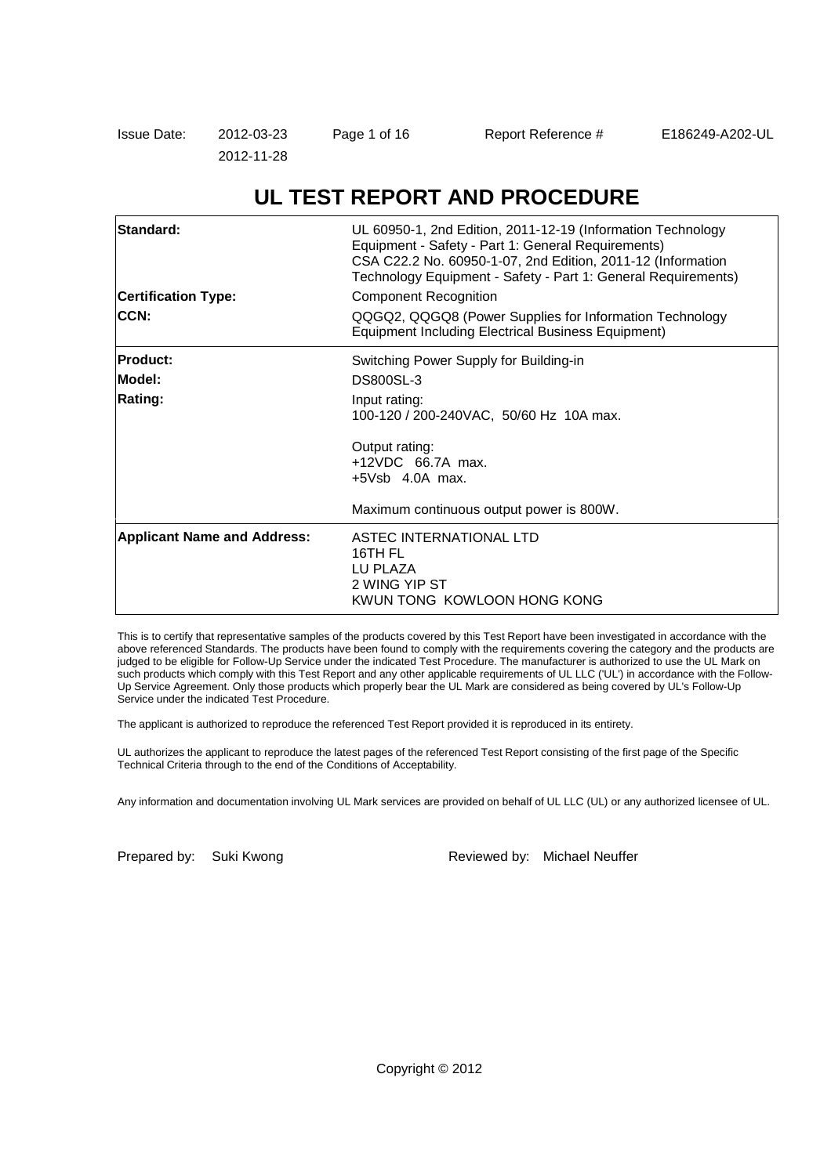# **UL TEST REPORT AND PROCEDURE**

| Standard:<br><b>Certification Type:</b><br>CCN: | UL 60950-1, 2nd Edition, 2011-12-19 (Information Technology<br>Equipment - Safety - Part 1: General Requirements)<br>CSA C22.2 No. 60950-1-07, 2nd Edition, 2011-12 (Information<br>Technology Equipment - Safety - Part 1: General Requirements)<br><b>Component Recognition</b><br>QQGQ2, QQGQ8 (Power Supplies for Information Technology<br>Equipment Including Electrical Business Equipment) |
|-------------------------------------------------|----------------------------------------------------------------------------------------------------------------------------------------------------------------------------------------------------------------------------------------------------------------------------------------------------------------------------------------------------------------------------------------------------|
| <b>Product:</b>                                 | Switching Power Supply for Building-in                                                                                                                                                                                                                                                                                                                                                             |
| Model:                                          | <b>DS800SL-3</b>                                                                                                                                                                                                                                                                                                                                                                                   |
| Rating:                                         | Input rating:<br>100-120 / 200-240 VAC, 50/60 Hz 10A max.                                                                                                                                                                                                                                                                                                                                          |
|                                                 | Output rating:<br>+12VDC 66.7A max.<br>$+5Vsb$ 4.0A max.                                                                                                                                                                                                                                                                                                                                           |
|                                                 | Maximum continuous output power is 800W.                                                                                                                                                                                                                                                                                                                                                           |
| <b>Applicant Name and Address:</b>              | ASTEC INTERNATIONAL LTD<br>16TH FL<br>LU PLAZA<br>2 WING YIP ST<br>KWUN TONG KOWLOON HONG KONG                                                                                                                                                                                                                                                                                                     |

This is to certify that representative samples of the products covered by this Test Report have been investigated in accordance with the above referenced Standards. The products have been found to comply with the requirements covering the category and the products are judged to be eligible for Follow-Up Service under the indicated Test Procedure. The manufacturer is authorized to use the UL Mark on such products which comply with this Test Report and any other applicable requirements of UL LLC ('UL') in accordance with the Follow-Up Service Agreement. Only those products which properly bear the UL Mark are considered as being covered by UL's Follow-Up Service under the indicated Test Procedure.

The applicant is authorized to reproduce the referenced Test Report provided it is reproduced in its entirety.

UL authorizes the applicant to reproduce the latest pages of the referenced Test Report consisting of the first page of the Specific Technical Criteria through to the end of the Conditions of Acceptability.

Any information and documentation involving UL Mark services are provided on behalf of UL LLC (UL) or any authorized licensee of UL.

Prepared by: Suki Kwong The Reviewed by: Michael Neuffer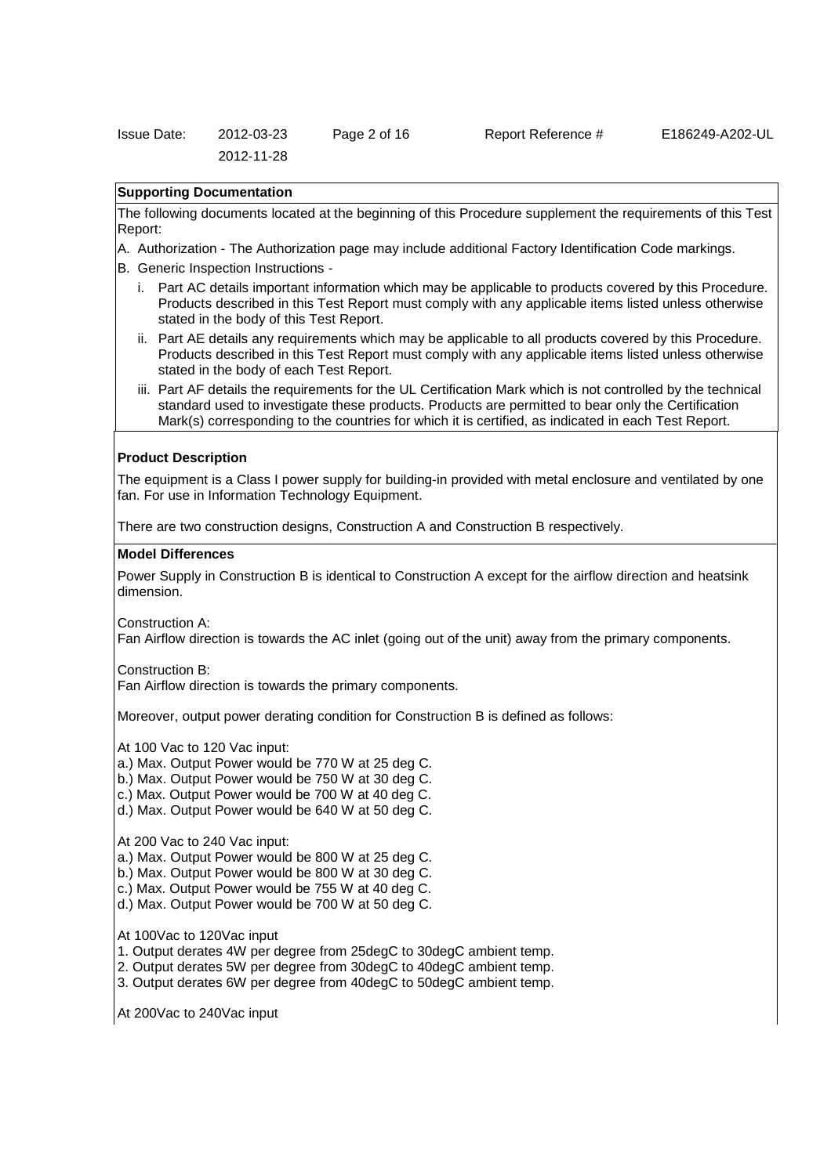| <b>Issue Date:</b> | 2012-03-23 | Page 2 of 16 |  |
|--------------------|------------|--------------|--|
|                    | 2012-11-28 |              |  |

### Report Reference # E186249-A202-UL

# **Supporting Documentation**

The following documents located at the beginning of this Procedure supplement the requirements of this Test Report:

- A. Authorization The Authorization page may include additional Factory Identification Code markings.
- B. Generic Inspection Instructions
	- i. Part AC details important information which may be applicable to products covered by this Procedure. Products described in this Test Report must comply with any applicable items listed unless otherwise stated in the body of this Test Report.
	- ii. Part AE details any requirements which may be applicable to all products covered by this Procedure. Products described in this Test Report must comply with any applicable items listed unless otherwise stated in the body of each Test Report.
	- iii. Part AF details the requirements for the UL Certification Mark which is not controlled by the technical standard used to investigate these products. Products are permitted to bear only the Certification Mark(s) corresponding to the countries for which it is certified, as indicated in each Test Report.

#### **Product Description**

The equipment is a Class I power supply for building-in provided with metal enclosure and ventilated by one fan. For use in Information Technology Equipment.

There are two construction designs, Construction A and Construction B respectively.

#### **Model Differences**

Power Supply in Construction B is identical to Construction A except for the airflow direction and heatsink dimension.

Construction A:

Fan Airflow direction is towards the AC inlet (going out of the unit) away from the primary components.

Construction B:

Fan Airflow direction is towards the primary components.

Moreover, output power derating condition for Construction B is defined as follows:

At 100 Vac to 120 Vac input:

- a.) Max. Output Power would be 770 W at 25 deg C.
- b.) Max. Output Power would be 750 W at 30 deg C.
- c.) Max. Output Power would be 700 W at 40 deg C.
- d.) Max. Output Power would be 640 W at 50 deg C.

At 200 Vac to 240 Vac input:

- a.) Max. Output Power would be 800 W at 25 deg C.
- b.) Max. Output Power would be 800 W at 30 deg C.
- c.) Max. Output Power would be 755 W at 40 deg C.
- d.) Max. Output Power would be 700 W at 50 deg C.

At 100Vac to 120Vac input

1. Output derates 4W per degree from 25degC to 30degC ambient temp.

- 2. Output derates 5W per degree from 30degC to 40degC ambient temp.
- 3. Output derates 6W per degree from 40degC to 50degC ambient temp.

At 200Vac to 240Vac input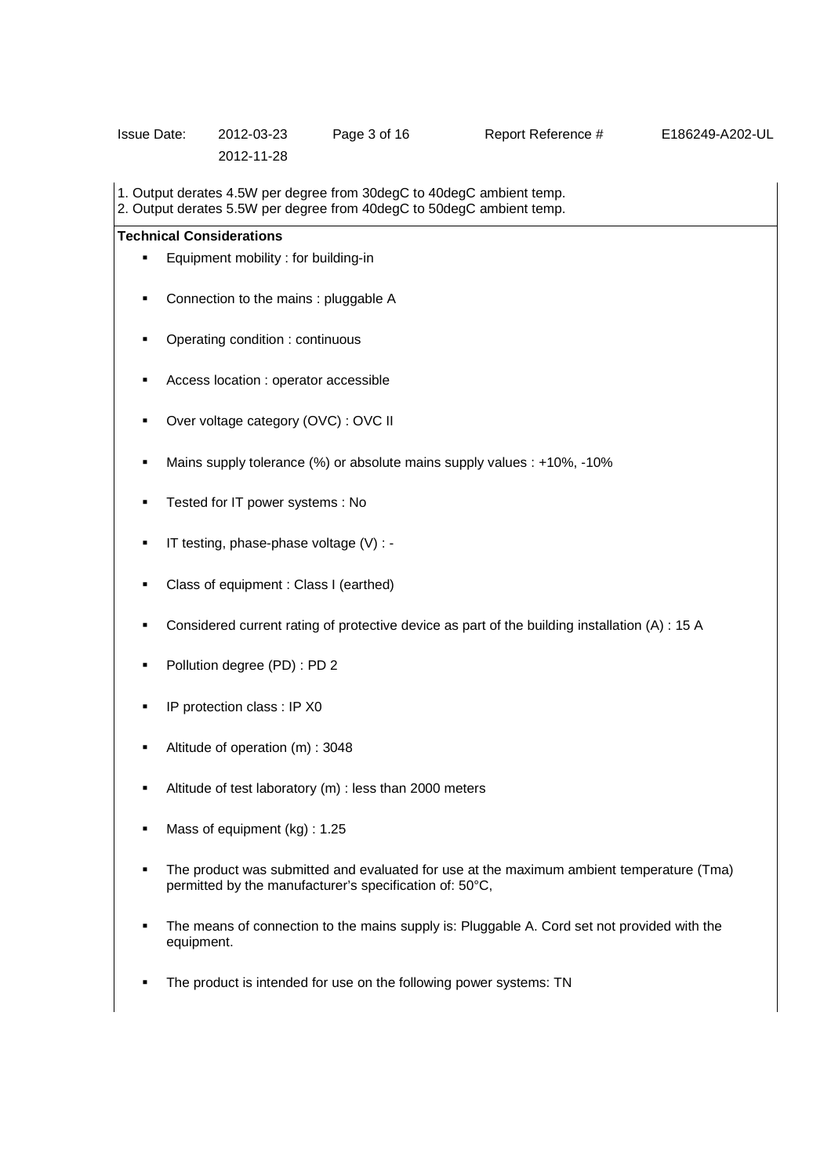| <b>Issue Date:</b> | 2012-03-23 | Page 3 of 16 |
|--------------------|------------|--------------|
|                    | 2012-11-28 |              |

Report Reference # E186249-A202-UL

1. Output derates 4.5W per degree from 30degC to 40degC ambient temp.

2. Output derates 5.5W per degree from 40degC to 50degC ambient temp.

# **Technical Considerations**

- Equipment mobility : for building-in
- Connection to the mains : pluggable A
- Operating condition : continuous
- Access location : operator accessible
- Over voltage category (OVC) : OVC II
- Mains supply tolerance (%) or absolute mains supply values : +10%, -10%
- Tested for IT power systems : No
- $\blacksquare$  IT testing, phase-phase voltage (V) : -
- Class of equipment : Class I (earthed)
- Considered current rating of protective device as part of the building installation (A) : 15 A
- Pollution degree (PD) : PD 2
- **IP protection class : IP X0**
- Altitude of operation (m) : 3048
- Altitude of test laboratory (m) : less than 2000 meters
- Mass of equipment (kg) : 1.25
- The product was submitted and evaluated for use at the maximum ambient temperature (Tma) permitted by the manufacturer's specification of: 50°C,
- The means of connection to the mains supply is: Pluggable A. Cord set not provided with the equipment.
- The product is intended for use on the following power systems: TN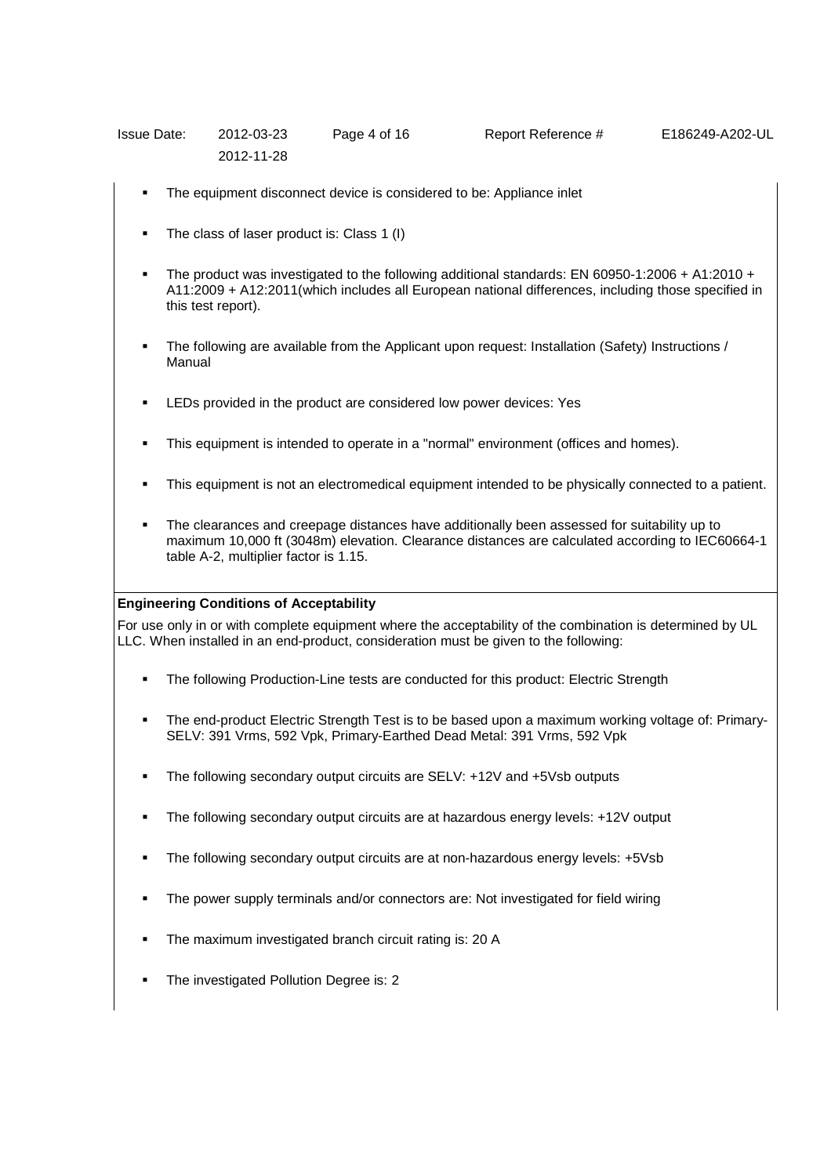| Issue Date: | 2012-03-23 | Page 4 of 16 | Report Reference # | E186249-A202-UL |
|-------------|------------|--------------|--------------------|-----------------|
|             | 2012-11-28 |              |                    |                 |

- The equipment disconnect device is considered to be: Appliance inlet
- The class of laser product is: Class 1 (I)
- The product was investigated to the following additional standards: EN 60950-1:2006 + A1:2010 + A11:2009 + A12:2011(which includes all European national differences, including those specified in this test report).
- The following are available from the Applicant upon request: Installation (Safety) Instructions / Manual
- LEDs provided in the product are considered low power devices: Yes
- This equipment is intended to operate in a "normal" environment (offices and homes).
- This equipment is not an electromedical equipment intended to be physically connected to a patient.
- The clearances and creepage distances have additionally been assessed for suitability up to maximum 10,000 ft (3048m) elevation. Clearance distances are calculated according to IEC60664-1 table A-2, multiplier factor is 1.15.

## **Engineering Conditions of Acceptability**

For use only in or with complete equipment where the acceptability of the combination is determined by UL LLC. When installed in an end-product, consideration must be given to the following:

- The following Production-Line tests are conducted for this product: Electric Strength
- The end-product Electric Strength Test is to be based upon a maximum working voltage of: Primary-SELV: 391 Vrms, 592 Vpk, Primary-Earthed Dead Metal: 391 Vrms, 592 Vpk
- The following secondary output circuits are SELV: +12V and +5Vsb outputs
- The following secondary output circuits are at hazardous energy levels: +12V output
- The following secondary output circuits are at non-hazardous energy levels: +5Vsb
- The power supply terminals and/or connectors are: Not investigated for field wiring
- The maximum investigated branch circuit rating is: 20 A
- The investigated Pollution Degree is: 2